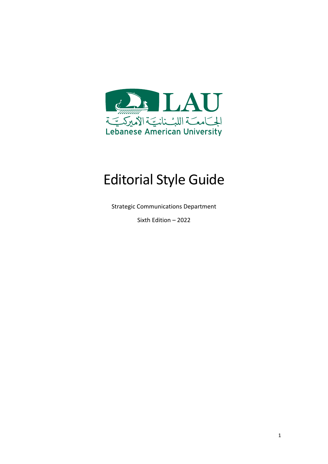

# Editorial Style Guide

Strategic Communications Department

Sixth Edition – 2022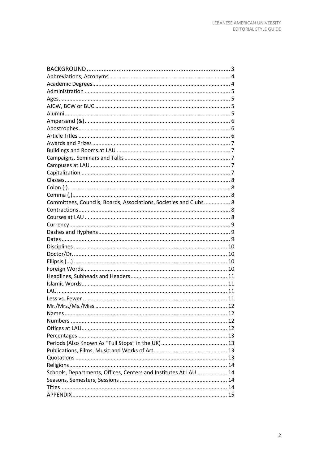| Committees, Councils, Boards, Associations, Societies and Clubs 8 |    |
|-------------------------------------------------------------------|----|
|                                                                   |    |
|                                                                   |    |
|                                                                   |    |
|                                                                   |    |
|                                                                   |    |
|                                                                   |    |
|                                                                   |    |
|                                                                   |    |
|                                                                   |    |
|                                                                   |    |
|                                                                   |    |
|                                                                   |    |
|                                                                   |    |
|                                                                   |    |
|                                                                   | 12 |
|                                                                   |    |
|                                                                   |    |
|                                                                   |    |
|                                                                   |    |
|                                                                   |    |
|                                                                   |    |
|                                                                   |    |
| Schools, Departments, Offices, Centers and Institutes At LAU 14   |    |
|                                                                   |    |
|                                                                   |    |
|                                                                   |    |
|                                                                   |    |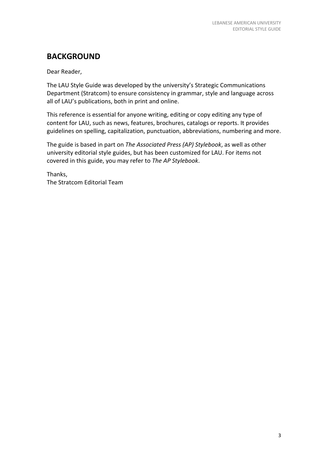# **BACKGROUND**

Dear Reader,

The LAU Style Guide was developed by the university's Strategic Communications Department (Stratcom) to ensure consistency in grammar, style and language across all of LAU's publications, both in print and online.

This reference is essential for anyone writing, editing or copy editing any type of content for LAU, such as news, features, brochures, catalogs or reports. It provides guidelines on spelling, capitalization, punctuation, abbreviations, numbering and more.

The guide is based in part on *The Associated Press (AP) Stylebook*, as well as other university editorial style guides, but has been customized for LAU. For items not covered in this guide, you may refer to *The AP Stylebook*.

Thanks, The Stratcom Editorial Team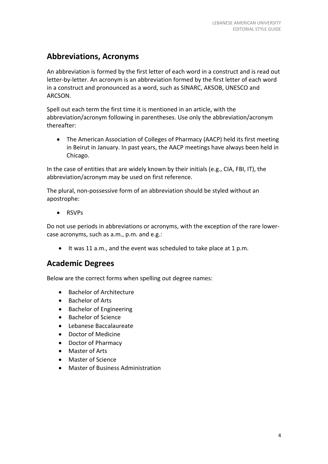# **Abbreviations, Acronyms**

An abbreviation is formed by the first letter of each word in a construct and is read out letter-by-letter. An acronym is an abbreviation formed by the first letter of each word in a construct and pronounced as a word, such as SINARC, AKSOB, UNESCO and ARCSON.

Spell out each term the first time it is mentioned in an article, with the abbreviation/acronym following in parentheses. Use only the abbreviation/acronym thereafter:

• The American Association of Colleges of Pharmacy (AACP) held its first meeting in Beirut in January. In past years, the AACP meetings have always been held in Chicago.

In the case of entities that are widely known by their initials (e.g., CIA, FBI, IT), the abbreviation/acronym may be used on first reference.

The plural, non-possessive form of an abbreviation should be styled without an apostrophe:

• RSVPs

Do not use periods in abbreviations or acronyms, with the exception of the rare lowercase acronyms, such as a.m., p.m. and e.g.:

• It was 11 a.m., and the event was scheduled to take place at 1 p.m.

### **Academic Degrees**

Below are the correct forms when spelling out degree names:

- Bachelor of Architecture
- Bachelor of Arts
- Bachelor of Engineering
- Bachelor of Science
- Lebanese Baccalaureate
- Doctor of Medicine
- Doctor of Pharmacy
- Master of Arts
- Master of Science
- Master of Business Administration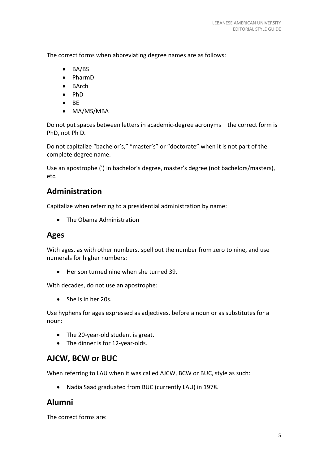The correct forms when abbreviating degree names are as follows:

- BA/BS
- PharmD
- BArch
- PhD
- BE
- MA/MS/MBA

Do not put spaces between letters in academic-degree acronyms – the correct form is PhD, not Ph D.

Do not capitalize "bachelor's," "master's" or "doctorate" when it is not part of the complete degree name.

Use an apostrophe (') in bachelor's degree, master's degree (not bachelors/masters), etc.

# **Administration**

Capitalize when referring to a presidential administration by name:

• The Obama Administration

# **Ages**

With ages, as with other numbers, spell out the number from zero to nine, and use numerals for higher numbers:

• Her son turned nine when she turned 39.

With decades, do not use an apostrophe:

• She is in her 20s.

Use hyphens for ages expressed as adjectives, before a noun or as substitutes for a noun:

- The 20-year-old student is great.
- The dinner is for 12-year-olds.

# **AJCW, BCW or BUC**

When referring to LAU when it was called AJCW, BCW or BUC, style as such:

• Nadia Saad graduated from BUC (currently LAU) in 1978.

# **Alumni**

The correct forms are: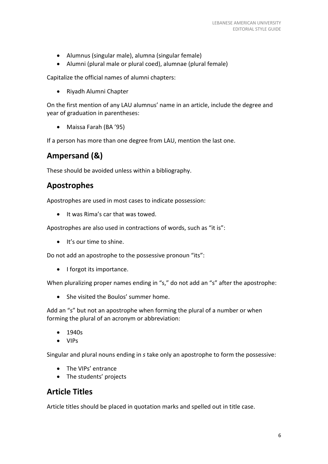- Alumnus (singular male), alumna (singular female)
- Alumni (plural male or plural coed), alumnae (plural female)

Capitalize the official names of alumni chapters:

• Riyadh Alumni Chapter

On the first mention of any LAU alumnus' name in an article, include the degree and year of graduation in parentheses:

• Maissa Farah (BA '95)

If a person has more than one degree from LAU, mention the last one.

# **Ampersand (&)**

These should be avoided unless within a bibliography.

# **Apostrophes**

Apostrophes are used in most cases to indicate possession:

• It was Rima's car that was towed.

Apostrophes are also used in contractions of words, such as "it is":

• It's our time to shine.

Do not add an apostrophe to the possessive pronoun "its":

• I forgot its importance.

When pluralizing proper names ending in "s," do not add an "s" after the apostrophe:

• She visited the Boulos' summer home.

Add an "s" but not an apostrophe when forming the plural of a number or when forming the plural of an acronym or abbreviation:

- 1940s
- VIPs

Singular and plural nouns ending in *s* take only an apostrophe to form the possessive:

- The VIPs' entrance
- The students' projects

### **Article Titles**

Article titles should be placed in quotation marks and spelled out in title case.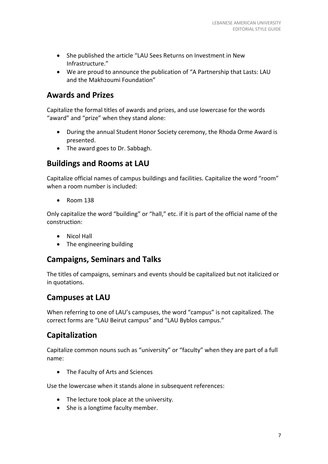- She published the article "LAU Sees Returns on Investment in New Infrastructure."
- We are proud to announce the publication of "A Partnership that Lasts: LAU and the Makhzoumi Foundation"

### **Awards and Prizes**

Capitalize the formal titles of awards and prizes, and use lowercase for the words "award" and "prize" when they stand alone:

- During the annual Student Honor Society ceremony, the Rhoda Orme Award is presented.
- The award goes to Dr. Sabbagh.

### **Buildings and Rooms at LAU**

Capitalize official names of campus buildings and facilities. Capitalize the word "room" when a room number is included:

• Room 138

Only capitalize the word "building" or "hall," etc. if it is part of the official name of the construction:

- Nicol Hall
- The engineering building

### **Campaigns, Seminars and Talks**

The titles of campaigns, seminars and events should be capitalized but not italicized or in quotations.

### **Campuses at LAU**

When referring to one of LAU's campuses, the word "campus" is not capitalized. The correct forms are "LAU Beirut campus" and "LAU Byblos campus."

# **Capitalization**

Capitalize common nouns such as "university" or "faculty" when they are part of a full name:

• The Faculty of Arts and Sciences

Use the lowercase when it stands alone in subsequent references:

- The lecture took place at the university.
- She is a longtime faculty member.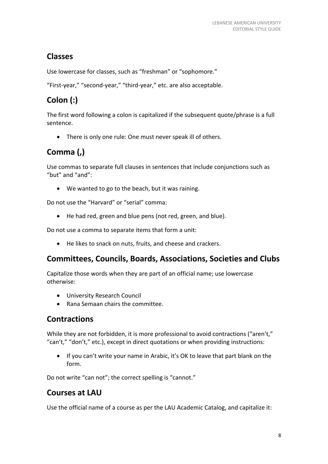# **Classes**

Use lowercase for classes, such as "freshman" or "sophomore."

"First-year," "second-year," "third-year," etc. are also acceptable.

# **Colon (:)**

The first word following a colon is capitalized if the subsequent quote/phrase is a full sentence.

• There is only one rule: One must never speak ill of others.

# **Comma (,)**

Use commas to separate full clauses in sentences that include conjunctions such as "but" and "and":

• We wanted to go to the beach, but it was raining.

Do not use the "Harvard" or "serial" comma:

• He had red, green and blue pens (not red, green, and blue).

Do not use a comma to separate items that form a unit:

• He likes to snack on nuts, fruits, and cheese and crackers.

# **Committees, Councils, Boards, Associations, Societies and Clubs**

Capitalize those words when they are part of an official name; use lowercase otherwise:

- University Research Council
- Rana Semaan chairs the committee.

# **Contractions**

While they are not forbidden, it is more professional to avoid contractions ("aren't," "can't," "don't," etc.), except in direct quotations or when providing instructions:

• If you can't write your name in Arabic, it's OK to leave that part blank on the form.

Do not write "can not"; the correct spelling is "cannot."

# **Courses at LAU**

Use the official name of a course as per the LAU Academic Catalog, and capitalize it: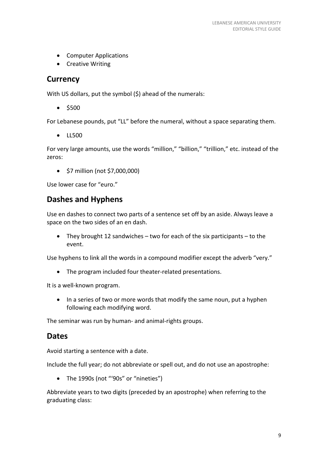- Computer Applications
- Creative Writing

#### **Currency**

With US dollars, put the symbol (\$) ahead of the numerals:

• \$500

For Lebanese pounds, put "LL" before the numeral, without a space separating them.

• LL500

For very large amounts, use the words "million," "billion," "trillion," etc. instead of the zeros:

• \$7 million (not \$7,000,000)

Use lower case for "euro."

### **Dashes and Hyphens**

Use en dashes to connect two parts of a sentence set off by an aside. Always leave a space on the two sides of an en dash.

• They brought 12 sandwiches – two for each of the six participants – to the event.

Use hyphens to link all the words in a compound modifier except the adverb "very."

• The program included four theater-related presentations.

It is a well-known program.

• In a series of two or more words that modify the same noun, put a hyphen following each modifying word.

The seminar was run by human- and animal-rights groups.

### **Dates**

Avoid starting a sentence with a date.

Include the full year; do not abbreviate or spell out, and do not use an apostrophe:

• The 1990s (not "'90s" or "nineties")

Abbreviate years to two digits (preceded by an apostrophe) when referring to the graduating class: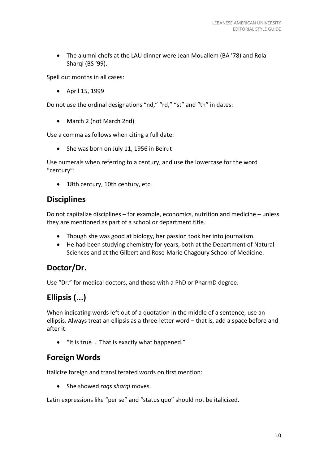• The alumni chefs at the LAU dinner were Jean Mouallem (BA '78) and Rola Shargi (BS '99).

Spell out months in all cases:

• April 15, 1999

Do not use the ordinal designations "nd," "rd," "st" and "th" in dates:

• March 2 (not March 2nd)

Use a comma as follows when citing a full date:

• She was born on July 11, 1956 in Beirut

Use numerals when referring to a century, and use the lowercase for the word "century":

• 18th century, 10th century, etc.

### **Disciplines**

Do not capitalize disciplines – for example, economics, nutrition and medicine – unless they are mentioned as part of a school or department title.

- Though she was good at biology, her passion took her into journalism.
- He had been studying chemistry for years, both at the Department of Natural Sciences and at the Gilbert and Rose-Marie Chagoury School of Medicine.

# **Doctor/Dr.**

Use "Dr." for medical doctors, and those with a PhD or PharmD degree.

# **Ellipsis (...)**

When indicating words left out of a quotation in the middle of a sentence, use an ellipsis. Always treat an ellipsis as a three-letter word – that is, add a space before and after it.

• "It is true … That is exactly what happened."

### **Foreign Words**

Italicize foreign and transliterated words on first mention:

• She showed *raqs sharqi* moves.

Latin expressions like "per se" and "status quo" should not be italicized.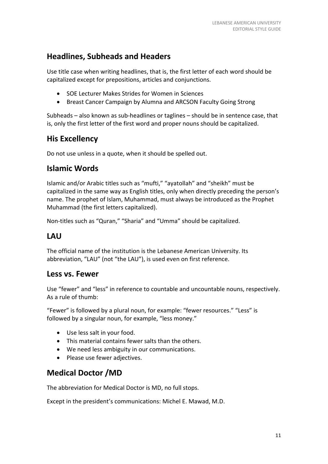# **Headlines, Subheads and Headers**

Use title case when writing headlines, that is, the first letter of each word should be capitalized except for prepositions, articles and conjunctions.

- SOE Lecturer Makes Strides for Women in Sciences
- Breast Cancer Campaign by Alumna and ARCSON Faculty Going Strong

Subheads – also known as sub-headlines or taglines – should be in sentence case, that is, only the first letter of the first word and proper nouns should be capitalized.

# **His Excellency**

Do not use unless in a quote, when it should be spelled out.

### **Islamic Words**

Islamic and/or Arabic titles such as "mufti," "ayatollah" and "sheikh" must be capitalized in the same way as English titles, only when directly preceding the person's name. The prophet of Islam, Muhammad, must always be introduced as the Prophet Muhammad (the first letters capitalized).

Non-titles such as "Quran," "Sharia" and "Umma" should be capitalized.

### **LAU**

The official name of the institution is the Lebanese American University. Its abbreviation, "LAU" (not "the LAU"), is used even on first reference.

### **Less vs. Fewer**

Use "fewer" and "less" in reference to countable and uncountable nouns, respectively. As a rule of thumb:

"Fewer" is followed by a plural noun, for example: "fewer resources." "Less" is followed by a singular noun, for example, "less money."

- Use less salt in your food.
- This material contains fewer salts than the others.
- We need less ambiguity in our communications.
- Please use fewer adjectives.

# **Medical Doctor /MD**

The abbreviation for Medical Doctor is MD, no full stops.

Except in the president's communications: Michel E. Mawad, M.D.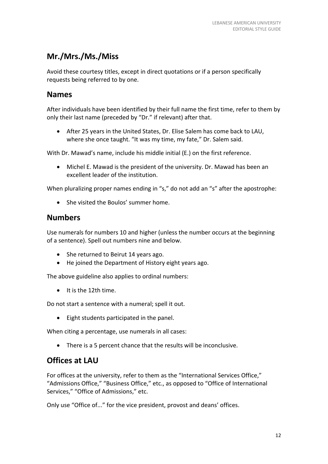# **Mr./Mrs./Ms./Miss**

Avoid these courtesy titles, except in direct quotations or if a person specifically requests being referred to by one.

### **Names**

After individuals have been identified by their full name the first time, refer to them by only their last name (preceded by "Dr." if relevant) after that.

• After 25 years in the United States, Dr. Elise Salem has come back to LAU, where she once taught. "It was my time, my fate," Dr. Salem said.

With Dr. Mawad's name, include his middle initial (E.) on the first reference.

• Michel E. Mawad is the president of the university. Dr. Mawad has been an excellent leader of the institution.

When pluralizing proper names ending in "s," do not add an "s" after the apostrophe:

• She visited the Boulos' summer home.

### **Numbers**

Use numerals for numbers 10 and higher (unless the number occurs at the beginning of a sentence). Spell out numbers nine and below.

- She returned to Beirut 14 years ago.
- He joined the Department of History eight years ago.

The above guideline also applies to ordinal numbers:

• It is the 12th time.

Do not start a sentence with a numeral; spell it out.

• Eight students participated in the panel.

When citing a percentage, use numerals in all cases:

• There is a 5 percent chance that the results will be inconclusive.

# **Offices at LAU**

For offices at the university, refer to them as the "International Services Office," "Admissions Office," "Business Office," etc., as opposed to "Office of International Services," "Office of Admissions," etc.

Only use "Office of..." for the vice president, provost and deans' offices.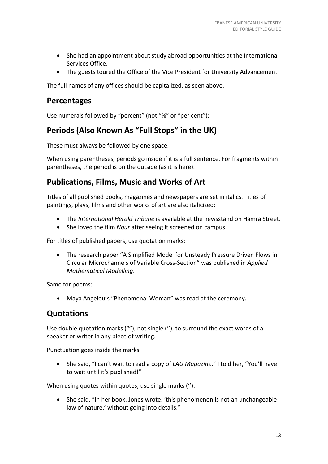- She had an appointment about study abroad opportunities at the International Services Office.
- The guests toured the Office of the Vice President for University Advancement.

The full names of any offices should be capitalized, as seen above.

### **Percentages**

Use numerals followed by "percent" (not "%" or "per cent"):

# **Periods (Also Known As "Full Stops" in the UK)**

These must always be followed by one space.

When using parentheses, periods go inside if it is a full sentence. For fragments within parentheses, the period is on the outside (as it is here).

### **Publications, Films, Music and Works of Art**

Titles of all published books, magazines and newspapers are set in italics. Titles of paintings, plays, films and other works of art are also italicized:

- The *International Herald Tribune* is available at the newsstand on Hamra Street.
- She loved the film *Nour* after seeing it screened on campus.

For titles of published papers, use quotation marks:

• The research paper "A Simplified Model for Unsteady Pressure Driven Flows in Circular Microchannels of Variable Cross-Section" was published in *Applied Mathematical Modelling*.

Same for poems:

• Maya Angelou's "Phenomenal Woman" was read at the ceremony.

### **Quotations**

Use double quotation marks (""), not single (''), to surround the exact words of a speaker or writer in any piece of writing.

Punctuation goes inside the marks.

• She said, "I can't wait to read a copy of *LAU Magazine*." I told her, "You'll have to wait until it's published!"

When using quotes within quotes, use single marks (''):

• She said, "In her book, Jones wrote, 'this phenomenon is not an unchangeable law of nature,' without going into details."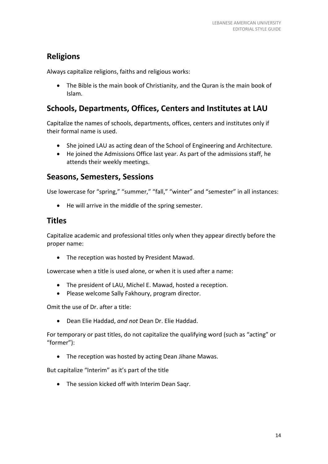# **Religions**

Always capitalize religions, faiths and religious works:

• The Bible is the main book of Christianity, and the Quran is the main book of Islam.

# **Schools, Departments, Offices, Centers and Institutes at LAU**

Capitalize the names of schools, departments, offices, centers and institutes only if their formal name is used.

- She joined LAU as acting dean of the School of Engineering and Architecture.
- He joined the Admissions Office last year. As part of the admissions staff, he attends their weekly meetings.

### **Seasons, Semesters, Sessions**

Use lowercase for "spring," "summer," "fall," "winter" and "semester" in all instances:

• He will arrive in the middle of the spring semester.

### **Titles**

Capitalize academic and professional titles only when they appear directly before the proper name:

• The reception was hosted by President Mawad.

Lowercase when a title is used alone, or when it is used after a name:

- The president of LAU, Michel E. Mawad, hosted a reception.
- Please welcome Sally Fakhoury, program director.

Omit the use of Dr. after a title:

• Dean Elie Haddad, *and not* Dean Dr. Elie Haddad.

For temporary or past titles, do not capitalize the qualifying word (such as "acting" or "former"):

• The reception was hosted by acting Dean Jihane Mawas.

But capitalize "Interim" as it's part of the title

• The session kicked off with Interim Dean Saqr.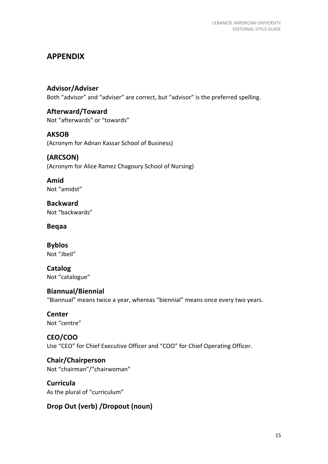# **APPENDIX**

**Advisor/Adviser** Both "advisor" and "adviser" are correct, but "advisor" is the preferred spelling.

**Afterward/Toward** Not "afterwards" or "towards"

**AKSOB** (Acronym for Adnan Kassar School of Business)

**(ARCSON)**  (Acronym for Alice Ramez Chagoury School of Nursing)

**Amid** Not "amidst"

**Backward** Not "backwards"

**Beqaa**

**Byblos** Not "Jbeil"

**Catalog** Not "catalogue"

### **Biannual/Biennial**

"Biannual" means twice a year, whereas "biennial" means once every two years.

**Center** Not "centre"

**CEO/COO**

Use "CEO" for Chief Executive Officer and "COO" for Chief Operating Officer.

**Chair/Chairperson** Not "chairman"/"chairwoman"

**Curricula** As the plural of "curriculum"

### **Drop Out (verb) /Dropout (noun)**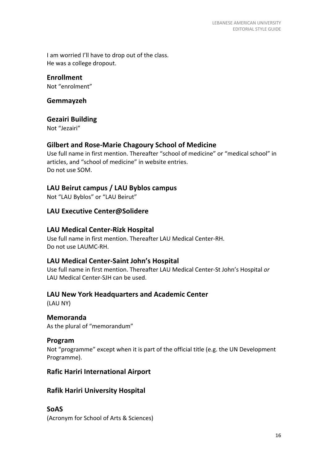I am worried I'll have to drop out of the class. He was a college dropout.

#### **Enrollment**

Not "enrolment"

#### **Gemmayzeh**

#### **Gezairi Building**

Not "Jezairi"

#### **Gilbert and Rose-Marie Chagoury School of Medicine**

Use full name in first mention. Thereafter "school of medicine" or "medical school" in articles, and "school of medicine" in website entries. Do not use SOM.

#### **LAU Beirut campus / LAU Byblos campus**

Not "LAU Byblos" or "LAU Beirut"

#### **LAU Executive Center@Solidere**

#### **LAU Medical Center-Rizk Hospital**

Use full name in first mention. Thereafter LAU Medical Center-RH. Do not use LAUMC-RH.

#### **LAU Medical Center-Saint John's Hospital**

Use full name in first mention. Thereafter LAU Medical Center-St John's Hospital *or* LAU Medical Center-SJH can be used.

#### **LAU New York Headquarters and Academic Center**

(LAU NY)

#### **Memoranda**

As the plural of "memorandum"

#### **Program**

Not "programme" except when it is part of the official title (e.g. the UN Development Programme).

#### **Rafic Hariri International Airport**

#### **Rafik Hariri University Hospital**

#### **SoAS**

(Acronym for School of Arts & Sciences)